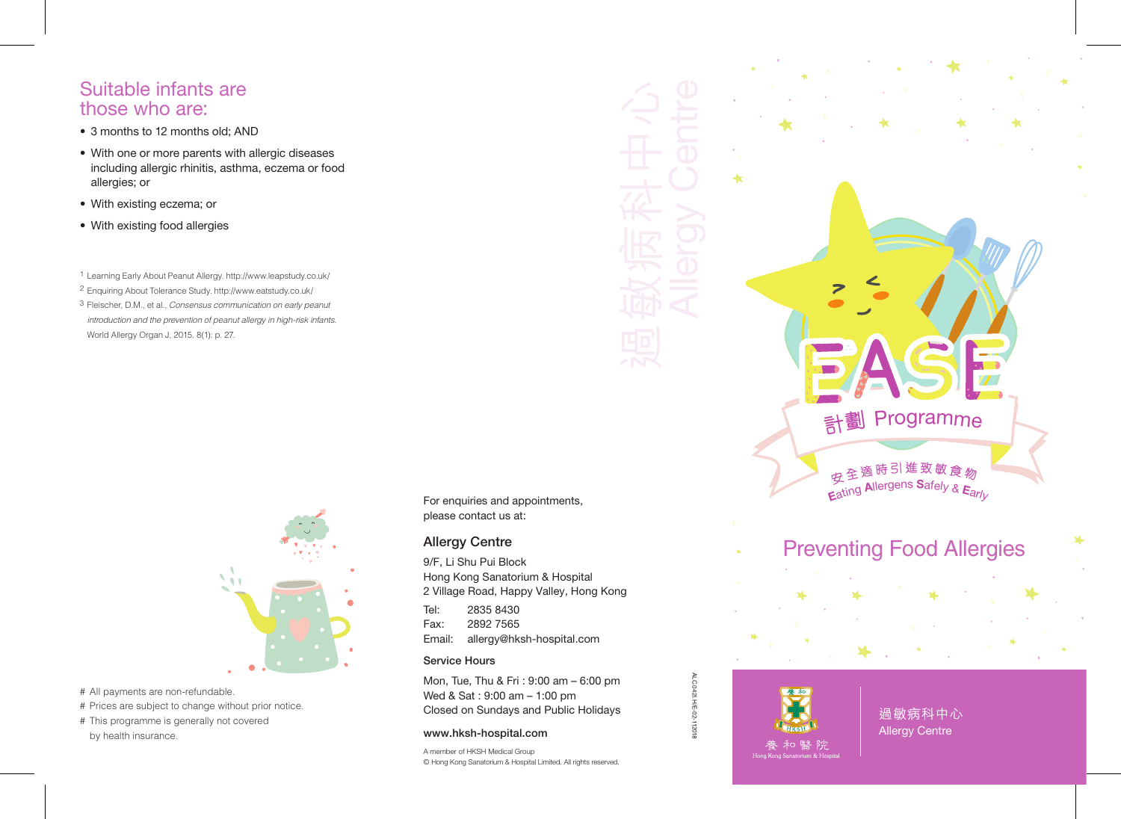## Suitable infants are those who are:

- 3 months to 12 months old; AND
- With one or more parents with allergic diseases including allergic rhinitis, asthma, eczema or food allergies; or
- With existing eczema; or
- With existing food allergies

1 Learning Early About Peanut Allergy. http://www.leapstudy.co.uk/

- 2 Enquiring About Tolerance Study. http://www.eatstudy.co.uk/
- 3 Fleischer, D.M., et al., *Consensus communication on early peanut introduction and the prevention of peanut allergy in high-risk infants.*  World Allergy Organ J, 2015. 8(1): p. 27.



# All payments are non-refundable. # Prices are subject to change without prior notice. # This programme is generally not covered by health insurance.

For enquiries and appointments, please contact us at:

## Allergy Centre

9/F, Li Shu Pui Block Hong Kong Sanatorium & Hospital 2 Village Road, Happy Valley, Hong Kong

Tel: 2835 8430 Fax: 2892 7565 Email: allergy@hksh-hospital.com

#### Service Hours

Mon, Tue, Thu & Fri : 9:00 am – 6:00 pm Wed & Sat : 9:00 am – 1:00 pm Closed on Sundays and Public Holidays

### www.hksh-hospital.com

A member of HKSH Medical Group © Hong Kong Sanatorium & Hospital Limited. All rights reserved.

ALC.042I.H/E-02-112018

ALC.042I.H/E-02-112018

過敏病科中心 Allergy Centre

Preventing Food Allergies

**計劃 Programme** 

安全適時引進致敏食物 Eating Allergens Safely &  $E_{\text{ar}/\text{L}}$